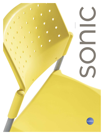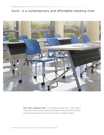### Sonic is a contemporary and affordable stacking chair



**Sonic offers exceptional value** in a contemporary seating series. A wide range of models suits a variety of interior applications including: meeting rooms, offices, reception areas, cafeterias, waiting rooms and lecture halls. Sonic's versatility is endless.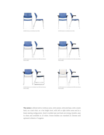

6508WS shown in Caribbean Surf (CRS). 6513WS shown in Caribbean Surf (CRS).





6509WS shown in in Caribbean Surf (CRS) and Allante, White (A48E).



6514WS shown in in Caribbean Surf (CRS) and Allante, White (A48E).



6524WS shown in in Caribbean Surf (CRS) and Allante, White (A48E).



6515WS shown in in Caribbean Surf (CRS) and Allante, White (A48E).

**The series** is offered with or without arms, with casters, with sled base, with a mesh back, as a task chair, as a bar height stool, with left or right tablet arms and in a beam seating configuration. Sonic's molded seat and back are strong, durable, easy to clean and available in 10 colors. Frame finishes are standard in Chrome and optional in Black or Tungsten.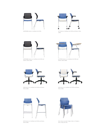



6508WS(MB) shown in Caribbean Surf (CRS). 6574 shown in Caribbean Surf (CRS) and Allante, White (A48E).



6509WS(MB) shown in in Caribbean Surf (CRS) and Allante, White (A48E).



6568 shown in in Caribbean Surf (CRS) and Allante, White (A48E).



6514TRWS shown in in Caribbean Surf (CRS) and Allante, White (A48E).



6569 shown in in Caribbean Surf (CRS) and Allante, White (A48E).



6559 shown in in Caribbean Surf (CRS) and Allante, White (A48E).



Sonic chairs can stack 5 high on floor or 10 high on Sonic's dolly (6517WS).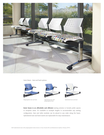

#### Sonic Beam - Seat and back options



Polypropylene seat and back



Upholstered seat with<br>polypropylene back



Upholstered seat and back

**Sonic beam is an affordable and efficient** seating solution to furnish public spaces or reception areas. It's available in multiple lengths to accommodate any seating configuration. Seat and table modules can be placed in any order along the beam. Upholstered seat and back inserts are replaceable for easy maintenance.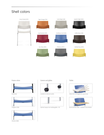# Shell colors









Chrome (CHM)

### Frame colors **Casters** and glides





Tungsten (TUN) Optional opaque non marking glides - NC

#### Tablet



Tablet lifts to 90 degrees for easy access



Wood laminate tablet - available in five finishes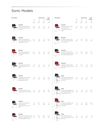# Sonic Models

| Description |                                                                                                |             |             | <b>Dimensions</b> | Seat         | Description |                                                       |
|-------------|------------------------------------------------------------------------------------------------|-------------|-------------|-------------------|--------------|-------------|-------------------------------------------------------|
|             |                                                                                                | W<br>IN     | D<br>IN     | Н<br>IN           | Height<br>IN |             |                                                       |
|             |                                                                                                | mm          | mm          | mm                | mm           |             |                                                       |
|             | 6508WS<br>Armless Stacking Chair<br>with polypropylene seat<br>and back                        | 21.5<br>546 | 23<br>584   | 33<br>838         | 18<br>457    |             | 6521WS<br>Armless S<br>with sled<br>upholster<br>back |
|             | 6509WS<br>Armless Stacking Chair<br>with upholstered seat and<br>polypropylene back            | 21.5<br>546 | 23<br>584   | 33<br>838         | 18.5<br>470  |             | 6523WS<br>Stacking /<br>sled base,<br>seat and b      |
|             | 6511WS<br>Armless Stacking Chair<br>with upholstered seat<br>and back                          | 21.5<br>546 | 23<br>584   | 34<br>864         | 18.5<br>470  |             | 6524WS<br>Stacking /<br>sled base,<br>and polyp       |
|             | 6513WS<br>Stacking Armchair with<br>polypropylene seat and<br>back                             | 23<br>584   | 23<br>584   | 33<br>838         | 18<br>457    |             | 6525WS<br>Stacking /<br>sled base.<br>and back        |
|             | 6514WS<br>Stacking Armchair with<br>upholstered seat and<br>polypropylene back                 | 23<br>584   | 23<br>584   | 33<br>838         | 18.5<br>470  |             | 6558<br>Armless B<br>with polyp<br>and back           |
| J,          | 6515WS<br>Stacking Armchair with<br>upholstered seat and back                                  | 23<br>584   | 23<br>584   | 34<br>864         | 18.5<br>470  |             | 6559<br>Armless B<br>with upho<br>polypropy           |
|             | 6518WS<br>Armless Stacking Chair<br>with sled base,<br>polypropylene seat and<br>back          | 22<br>559   | 22.5<br>572 | 32.5<br>826       | 17<br>432    |             | 6561<br>Armless B<br>with upho<br>and back            |
|             | 6519WS<br>Armless Stacking Chair with<br>sled base, upholstered seat<br>and polypropylene back | 22<br>559   | 22.5<br>572 | 32.5<br>826       | 17.5<br>445  |             | 6563<br>Bar Heigh<br>arms, pol<br>and back            |

| otion |                                                                           | W         | D           | Dimensions<br>Н | Seat<br>Height |
|-------|---------------------------------------------------------------------------|-----------|-------------|-----------------|----------------|
|       |                                                                           | IN        | IN          | IN              | IN             |
|       | 6521WS                                                                    | mm        | mm          | mm              | mm             |
|       | Armless Stacking Chair<br>with sled base.<br>upholstered seat and<br>back | 22<br>559 | 22.5<br>572 | 33<br>838       | 17.5<br>445    |

| Stacking Armchair with                    | 23  | 22 5 | 325 | 17  |
|-------------------------------------------|-----|------|-----|-----|
| sled base, polypropylene<br>seat and back | 584 | 572  | 826 | 432 |
|                                           |     |      |     |     |

| 6524WS                      |     |      |      |      |
|-----------------------------|-----|------|------|------|
| Stacking Armchair with      | クス  | 22 5 | 32.5 | 17.5 |
| sled base, upholstered seat | 584 | 572  | 826  | 445  |
| and polypropylene back      |     |      |      |      |

| 23  | 22.5 | 33  | 17.5 |
|-----|------|-----|------|
| 584 | 572  | 838 | 445  |
|     |      |     |      |

| 6558                     |     |     |      |  |
|--------------------------|-----|-----|------|--|
| Armless Bar Height Stool | つつ  |     |      |  |
| with polypropylene seat  | 559 | 584 | 1067 |  |
| and back                 |     |     |      |  |

Armless Bar Height Stool with upholstered seat and polypropylene back 22 23 42 28.5 559 584 1067 724

s Bar Height Stool pholstered seat ck 22 23 42.5 28.5 1080

Bar Height Stool with arms, polypropylene seat and back

| ıt Stool with    | 23  | クス  | 42   | 28  |
|------------------|-----|-----|------|-----|
| lypropylene seat | 584 | 584 | 1067 | 711 |
|                  |     |     |      |     |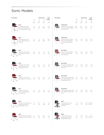# Sonic Models

| Description |                                            |           |             | Dimensions  | Seat      | Description |
|-------------|--------------------------------------------|-----------|-------------|-------------|-----------|-------------|
|             |                                            | W         | D           | Н           | Height    |             |
|             |                                            | IN        | IN          | IN          | IN        |             |
|             |                                            | mm        | mm          | mm          | mm        |             |
|             | 6564                                       |           |             |             |           |             |
|             | Bar Height Stool with                      | 23        | 23          | 42.5        | 28.5      |             |
|             | arms, upholstered seat                     | 584       | 584         | 1080        | 724       |             |
|             | with polypropylene back                    |           |             |             |           |             |
|             |                                            |           |             |             |           |             |
|             |                                            |           |             |             |           |             |
|             |                                            |           |             |             |           |             |
|             |                                            |           |             |             |           |             |
|             | 6565                                       |           |             |             |           |             |
|             | Bar Height Stool with                      | 23        | 23          | 42.5        | 28.5      |             |
|             | arms, upholstered seat<br>and back         | 584       | 584         | 1080        | 724       |             |
|             |                                            |           |             |             |           |             |
|             |                                            |           |             |             |           |             |
|             |                                            |           |             |             |           |             |
|             |                                            |           |             |             |           |             |
|             | 6573                                       |           |             |             |           |             |
|             | Armchair with casters,                     | 23        | 21          | 32          | 17.5      |             |
|             | polypropylene seat and                     | 584       | 533         | 813         | 445       |             |
|             | back                                       |           |             |             |           |             |
|             |                                            |           |             |             |           |             |
|             |                                            |           |             |             |           |             |
|             |                                            |           |             |             |           |             |
|             |                                            |           |             |             |           |             |
|             | 6574                                       |           |             |             |           |             |
|             | Armchair with casters,                     | 23        | 21.5        | 32          | 18        |             |
|             | upholstered seat and                       | 584       | 546         | 813         | 457       |             |
|             | polypropylene back                         |           |             |             |           |             |
|             |                                            |           |             |             |           |             |
|             |                                            |           |             |             |           |             |
|             |                                            |           |             |             |           |             |
|             |                                            |           |             |             |           |             |
|             | 6575                                       |           |             |             |           |             |
|             | Armchair with casters,                     | 23<br>584 | 21.5<br>546 | 32.5<br>826 | 18<br>457 |             |
|             | upholstered seat and back                  |           |             |             |           |             |
|             |                                            |           |             |             |           |             |
|             |                                            |           |             |             |           |             |
|             |                                            |           |             |             |           |             |
|             |                                            |           |             |             |           |             |
|             | 6577                                       |           |             |             |           |             |
|             | Armless chair with                         | 21        | 21          | 33          | 17.5      |             |
|             | casters, polypropylene                     | 533       | 533         | 838         | 445       |             |
|             | seat and back                              |           |             |             |           |             |
|             |                                            |           |             |             |           |             |
|             |                                            |           |             |             |           |             |
|             |                                            |           |             |             |           |             |
|             |                                            |           |             |             |           |             |
|             | 6578                                       |           |             |             |           |             |
|             | Armless chair with casters,                | 21        | 21.5        | 33          | 18        |             |
|             | upholstered seat and<br>polypropylene back | 533       | 546         | 838         | 457       |             |
|             |                                            |           |             |             |           |             |
|             |                                            |           |             |             |           |             |
|             |                                            |           |             |             |           |             |
|             |                                            |           |             |             |           |             |
|             |                                            |           |             |             |           |             |
|             | 6579<br>Armless chair with casters,        |           |             |             |           |             |
|             | upholstered seat and back                  | 21<br>533 | 21.5<br>546 | 32.5<br>826 | 18<br>457 |             |
|             |                                            |           |             |             |           |             |
|             |                                            |           |             |             |           |             |
|             |                                            |           |             |             |           |             |

| Description |                                                                                   |              |             | <b>Dimensions</b> | Seat      |
|-------------|-----------------------------------------------------------------------------------|--------------|-------------|-------------------|-----------|
|             |                                                                                   | W            | D           | н                 | Height    |
|             |                                                                                   | IN           | IN          | IN                | IN        |
|             |                                                                                   | mm           | mm          | mm                | mm        |
|             | 6508TRWS<br>Armless chair with right<br>tablet arm polypropylene<br>seat and back | 24.75<br>629 | 26.5<br>673 | 32.5<br>826       | 18<br>457 |
|             |                                                                                   |              |             |                   |           |



| 6509TRWS                                         |       |      |     |     |
|--------------------------------------------------|-------|------|-----|-----|
| Armless chair with right                         | 24.75 | 26.5 | 325 | 185 |
| tablet arm upholstered<br>seat and polypropylene | 629   | 673  | 826 | 470 |
| back                                             |       |      |     |     |



| 6511TRWS                                                            |              |             |             |             |
|---------------------------------------------------------------------|--------------|-------------|-------------|-------------|
| Armless chair with right<br>tablet arm upholstered<br>seat and back | 24.75<br>629 | 26.5<br>673 | 32.5<br>826 | 18.5<br>470 |

| 6  |
|----|
| Aı |
| ar |
| ar |
|    |

| 6513TRWS                           |     |      |     |     |
|------------------------------------|-----|------|-----|-----|
| Armchair with right tablet         | 25  | 26.5 | 325 | 18  |
| arm polypropylene seat<br>and back | 635 | 673  | 826 | 457 |



| 6514TRWS                                       |     |      |     |     |
|------------------------------------------------|-----|------|-----|-----|
| Armchair with right tablet                     | 25  | 26.5 | 325 | 185 |
| arm upholstered seat and<br>polypropylene back | 635 | 673  | 826 | 470 |



| 6515TRWS                   |    |      |      |
|----------------------------|----|------|------|
| Armchair with right tablet | 25 | 26.5 | 32.5 |
|                            |    |      |      |

| Armchair with right tablet |     | 26.5 | -32.5 | 18.5 |
|----------------------------|-----|------|-------|------|
| arm upholstered seat and   | 635 | 673  | 826   | 470  |
| back                       |     |      |       |      |



**6567** Task chair with arms, polypropylene seat and back 23 20.5 32.5 15.5-20.5 584 521 826 394-521



| 6568                  |     |  |
|-----------------------|-----|--|
| Task chair with arms. | 23  |  |
| upholstered seat and  | 584 |  |
| polypropylene back    |     |  |

| irms, | 23  | 20.5 | 32.5 | 16-21       |
|-------|-----|------|------|-------------|
| and   | 584 | 521  |      | 826 406-533 |
|       |     |      |      |             |